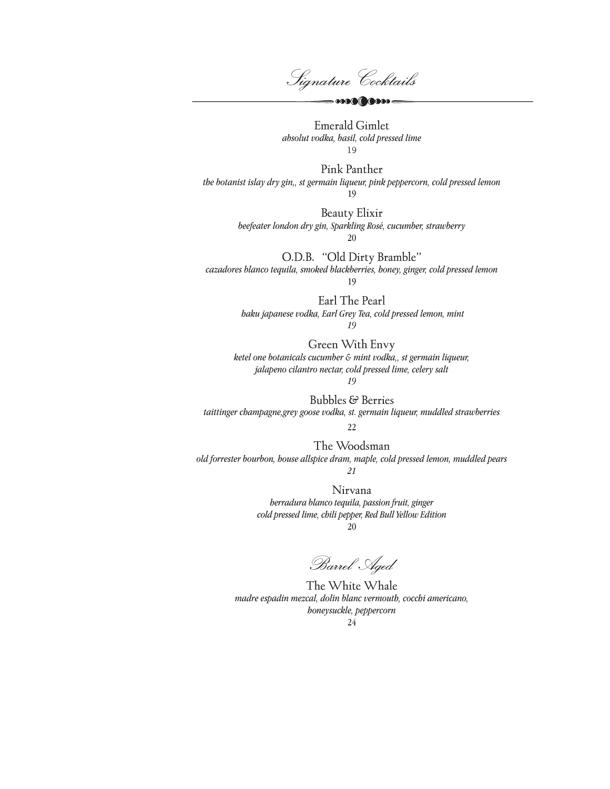Signature Cocktails

 $\sim$  0000 0000

Emerald Gimlet *absolut vodka, basil, cold pressed lime* 19

Pink Panther *the botanist islay dry gin,, st germain liqueur, pink peppercorn, cold pressed lemon* 19

> Beauty Elixir *beefeater london dry gin, Sparkling Rosé, cucumber, strawberry*

20

O.D.B. "Old Dirty Bramble" *cazadores blanco tequila, smoked blackberries, honey, ginger, cold pressed lemon*

19

Earl The Pearl  *haku japanese vodka, Earl Grey Tea, cold pressed lemon, mint 19*

Green With Envy *ketel one botanicals cucumber & mint vodka,, st germain liqueur, jalapeno cilantro nectar, cold pressed lime, celery salt 19*

Bubbles & Berries *taittinger champagne,grey goose vodka, st. germain liqueur, muddled strawberries*

22

The Woodsman *old forrester bourbon, house allspice dram, maple, cold pressed lemon, muddled pears 21*

> Nirvana *herradura blanco tequila, passion fruit, ginger cold pressed lime, chili pepper, Red Bull Yellow Edition* 20

Barrel Aged

The White Whale *madre espadin mezcal, dolin blanc vermouth, cocchi americano, honeysuckle, peppercorn* 24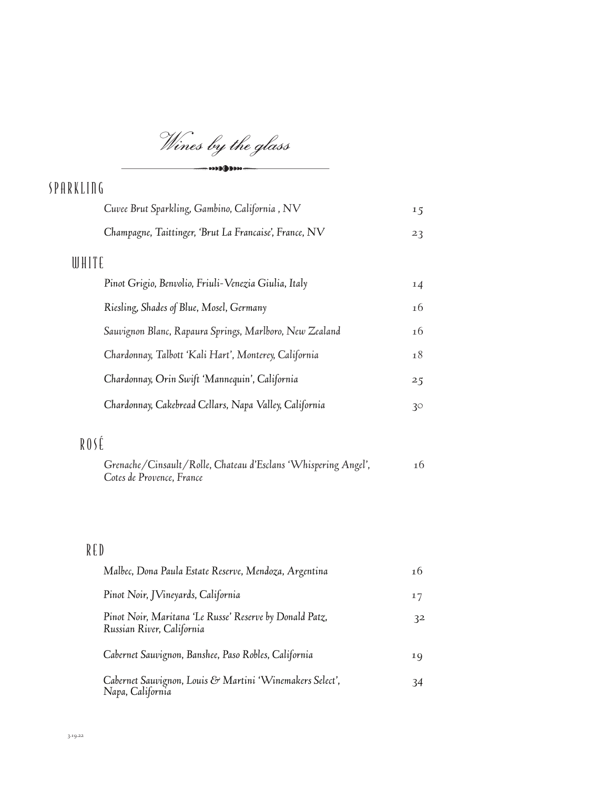Wines by the glass  $\longrightarrow$   $\longrightarrow$   $\longrightarrow$ 

| SPARKLING                                               |    |
|---------------------------------------------------------|----|
| Cuvee Brut Sparkling, Gambino, California, NV           | 15 |
| Champagne, Taittinger, 'Brut La Francaise', France, NV  | 23 |
| WHITE                                                   |    |
| Pinot Grigio, Benvolio, Friuli-Venezia Giulia, Italy    | 14 |
| Riesling, Shades of Blue, Mosel, Germany                | 16 |
| Sauvignon Blanc, Rapaura Springs, Marlboro, New Zealand | 16 |
| Chardonnay, Talbott 'Kali Hart', Monterey, California   | 18 |
| Chardonnay, Orin Swift 'Mannequin', California          | 25 |
| Chardonnay, Cakebread Cellars, Napa Valley, California  | 30 |
|                                                         |    |

## ROSÉ

| Grenache/Cinsault/Rolle, Chateau d'Esclans 'Whispering Angel', | 16 |
|----------------------------------------------------------------|----|
| Cotes de Provence, France                                      |    |

## RED

| Malbec, Dona Paula Estate Reserve, Mendoza, Argentina                                | 16 |
|--------------------------------------------------------------------------------------|----|
| Pinot Noir, JVineyards, California                                                   | 17 |
| Pinot Noir, Maritana 'Le Russe' Reserve by Donald Patz,<br>Russian River, California | 32 |
| Cabernet Sauvignon, Banshee, Paso Robles, California                                 | 19 |
| Cabernet Sauvignon, Louis & Martini 'Winemakers Select',<br>Napa, California         | 34 |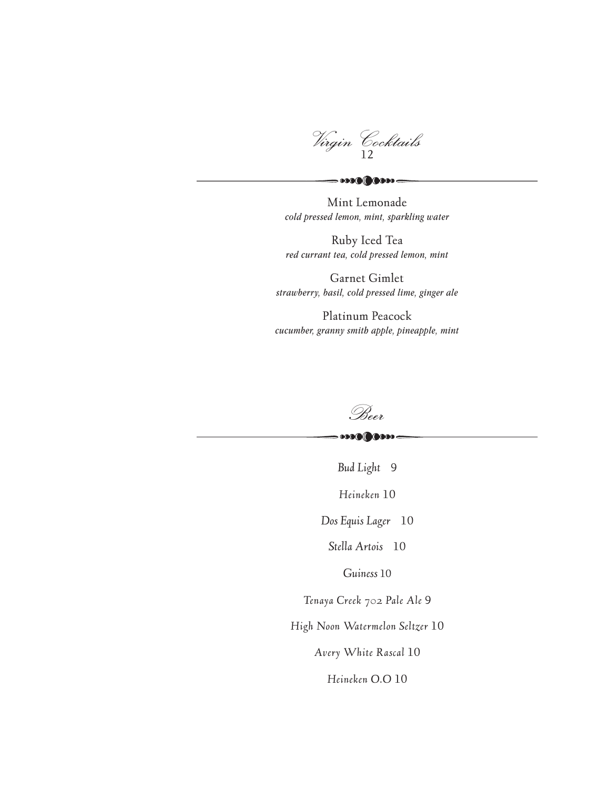Virgin Cocktails

Mint Lemonade *cold pressed lemon, mint, sparkling water*

 $\sim$  0000  $\sim$ 

Ruby Iced Tea *red currant tea, cold pressed lemon, mint*

Garnet Gimlet *strawberry, basil, cold pressed lime, ginger ale*

Platinum Peacock *cucumber, granny smith apple, pineapple, mint*



 $\cdot \cdot \cdot \cdot \cdot \cdot \cdot$ 

*Bud Light* 9

*Heineken* 10

*Dos Equis Lager* 10

*Stella Artois* 10

*Guiness* 10

*Tenaya Creek 702 Pale Ale* 9

*High Noon Watermelon Seltzer* 10

*Avery White Rascal* 10

*Heineken O.O* 10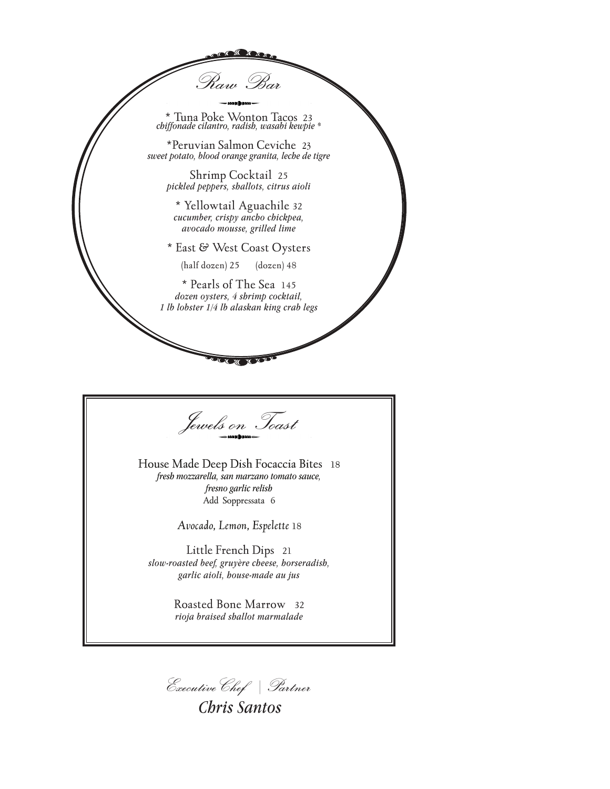\* Tuna Poke Wonton Tacos 23 *chiffonade cilantro, radish, wasabi kewpie \** 

Raw Bar

\*Peruvian Salmon Ceviche 23 *sweet potato, blood orange granita, leche de tigre*

Shrimp Cocktail 25 *pickled peppers, shallots, citrus aioli*

\* Yellowtail Aguachile 32 *cucumber, crispy ancho chickpea, avocado mousse, grilled lime*

\* East & West Coast Oysters

(half dozen) 25 (dozen) 48

\* Pearls of The Sea 145 *dozen oysters, 4 shrimp cocktail, 1 lb lobster 1/4 lb alaskan king crab legs*

Jewels on Toast

House Made Deep Dish Focaccia Bites 18 *fresh mozzarella, san marzano tomato sauce, fresno garlic relish* Add Soppressata 6

*Avocado, Lemon, Espelette* 18

Little French Dips 21 *slow-roasted beef, gruyère cheese, horseradish, garlic aioli, house-made au jus*

> Roasted Bone Marrow 32 *rioja braised shallot marmalade*

ExecutiveChef | Partner

*Chris Santos*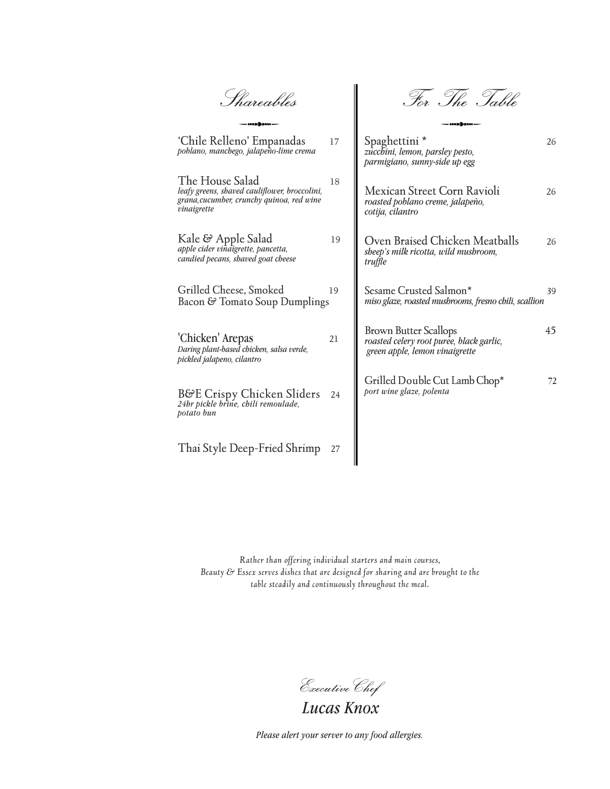Shareables

For The Table

| 'Chile Relleno' Empanadas<br>poblano, manchego, jalapeño-lime crema                                                          | 17 | Spaghettini *<br>zucchini, lemon, parsley pesto,<br>parmigiano, sunny-side up egg                          | 26 |
|------------------------------------------------------------------------------------------------------------------------------|----|------------------------------------------------------------------------------------------------------------|----|
| The House Salad<br>leafy greens, shaved cauliflower, broccolini,<br>grana, cucumber, crunchy quinoa, red wine<br>vinaigrette | 18 | Mexican Street Corn Ravioli<br>roasted poblano creme, jalapeño,<br>cotija, cilantro                        | 26 |
| Kale & Apple Salad<br>apple cider vinaigrette, pancetta,<br>candied pecans, shaved goat cheese                               | 19 | Oven Braised Chicken Meatballs<br>sheep's milk ricotta, wild mushroom,<br>truffle                          | 26 |
| Grilled Cheese, Smoked<br>Bacon & Tomato Soup Dumplings                                                                      | 19 | Sesame Crusted Salmon*<br>miso glaze, roasted musbrooms, fresno chili, scallion                            | 39 |
| 'Chicken' Arepas<br>Daring plant-based chicken, salsa verde,<br>pickled jalapeno, cilantro                                   | 21 | <b>Brown Butter Scallops</b><br>roasted celery root puree, black garlic,<br>green apple, lemon vinaigrette | 45 |
| B&E Crispy Chicken Sliders<br>24hr pickle brine, chili remoulade,<br>potato bun                                              | 24 | Grilled Double Cut Lamb Chop*<br>port wine glaze, polenta                                                  | 72 |
| Thai Style Deep-Fried Shrimp                                                                                                 | 27 |                                                                                                            |    |

┃

*Rather than offering individual starters and main courses, Beauty & Essex serves dishes that are designed for sharing and are brought to the table steadily and continuously throughout the meal.*

ExecutiveChef

*Lucas Knox*

*Please alert your server to any food allergies.*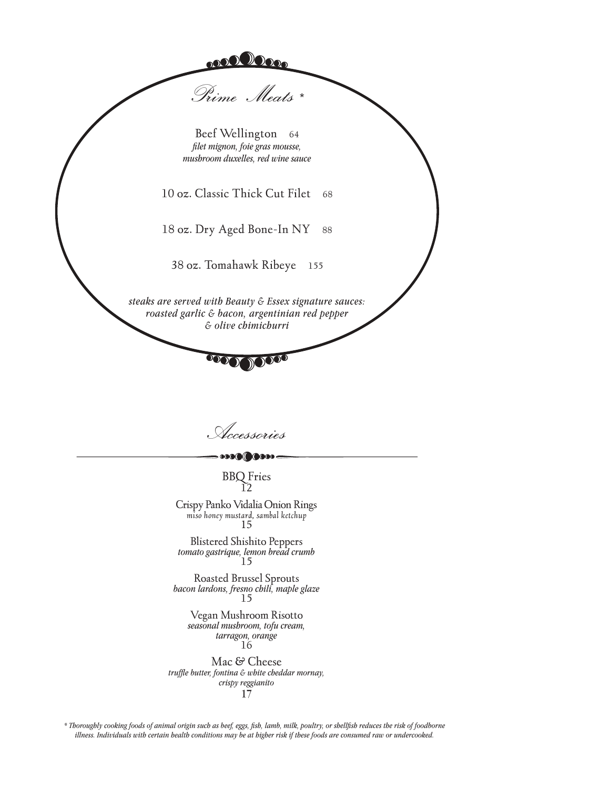

Accessories

BBQ Fries 12

Crispy Panko Vidalia Onion Rings *miso honey mustard, sambal ketchup* <sup>15</sup>

Blistered Shishito Peppers *tomato gastrique, lemon bread crumb* 15

Roasted Brussel Sprouts *bacon lardons, fresno chili, maple glaze*<sup>15</sup>

Vegan Mushroom Risotto *seasonal mushroom, tofu cream, tarragon, orange*  16

Mac & Cheese *truffle butter, fontina & white cheddar mornay, crispy reggianito* 17

*\* Thoroughly cooking foods of animal origin such as beef, eggs, fish, lamb, milk, poultry, or shellfish reduces the risk of foodborne illness. Individuals with certain health conditions may be at higher risk if these foods are consumed raw or undercooked.*